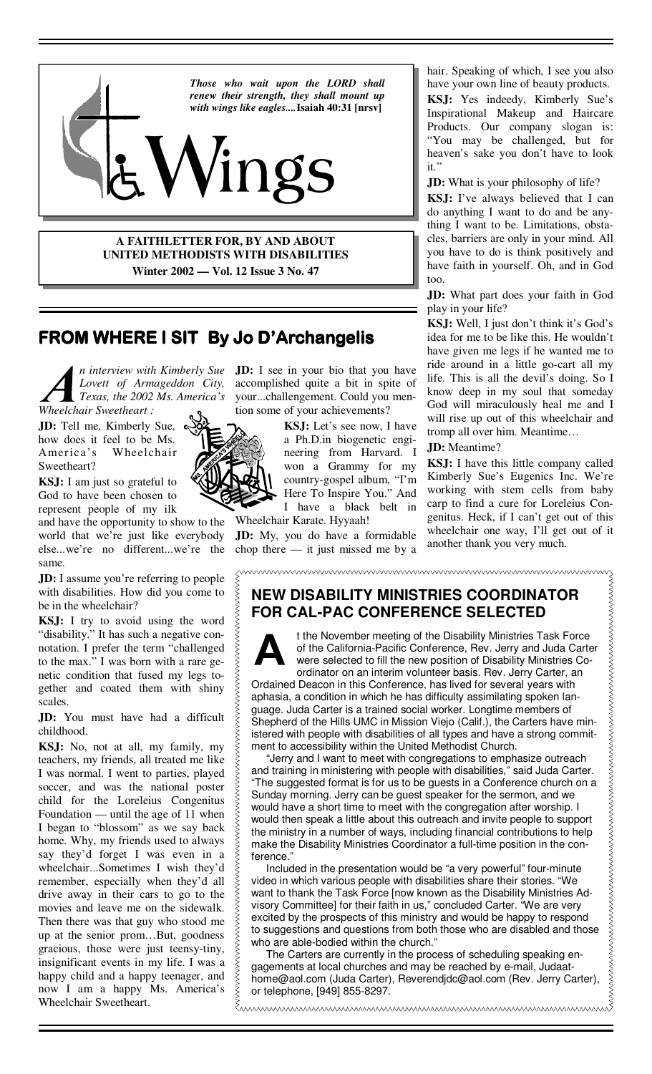

**A FAITHLETTER FOR, BY AND ABOUT UNITED METHODISTS WITH DISABILITIES Winter 2002 — Vol. 12 Issue 3 No. 47**

# **FROM WHERE I SIT FROM WHERE I SIT By Jo D'Archangelis D'Archangelis D'Archangelis**

*n interview with Kimberly Sue Lovett of Armageddon City, Texas, the 2002 Ms. America's Wheelchair Sweetheart :*

**JD:** Tell me, Kimberly Sue,  $\infty$ how does it feel to be Ms. America's Wheelchair Sweetheart?

**KSJ:** I am just so grateful to God to have been chosen to represent people of my ilk

and have the opportunity to show to the world that we're just like everybody else...we're no different...we're the same.

**JD:** I assume you're referring to people with disabilities. How did you come to be in the wheelchair?

**KSJ:** I try to avoid using the word "disability." It has such a negative connotation. I prefer the term "challenged to the max." I was born with a rare genetic condition that fused my legs together and coated them with shiny scales.

**JD:** You must have had a difficult childhood.

**KSJ:** No, not at all, my family, my teachers, my friends, all treated me like I was normal. I went to parties, played soccer, and was the national poster child for the Loreleius Congenitus Foundation — until the age of 11 when I began to "blossom" as we say back home. Why, my friends used to always say they'd forget I was even in a wheelchair...Sometimes I wish they'd remember, especially when they'd all drive away in their cars to go to the movies and leave me on the sidewalk. Then there was that guy who stood me up at the senior prom…But, goodness gracious, those were just teensy-tiny, insignificant events in my life. I was a happy child and a happy teenager, and now I am a happy Ms. America's Wheelchair Sweetheart.

**JD:** I see in your bio that you have accomplished quite a bit in spite of your...challengement. Could you mention some of your achievements?

> **KSJ:** Let's see now, I have a Ph.D.in biogenetic engineering from Harvard. I won a Grammy for my country-gospel album, "I'm Here To Inspire You." And I have a black belt in

Wheelchair Karate. Hyyaah!

**JD:** My, you do have a formidable chop there — it just missed me by a hair. Speaking of which, I see you also have your own line of beauty products. **KSJ:** Yes indeedy, Kimberly Sue's Inspirational Makeup and Haircare Products. Our company slogan is: "You may be challenged, but for heaven's sake you don't have to look it."

**JD:** What is your philosophy of life? **KSJ:** I've always believed that I can do anything I want to do and be anything I want to be. Limitations, obstacles, barriers are only in your mind. All you have to do is think positively and have faith in yourself. Oh, and in God too.

**JD:** What part does your faith in God play in your life?

**KSJ:** Well, I just don't think it's God's idea for me to be like this. He wouldn't have given me legs if he wanted me to ride around in a little go-cart all my life. This is all the devil's doing. So I know deep in my soul that someday God will miraculously heal me and I will rise up out of this wheelchair and tromp all over him. Meantime…

### **JD:** Meantime?

**KSJ:** I have this little company called Kimberly Sue's Eugenics Inc. We're working with stem cells from baby carp to find a cure for Loreleius Congenitus. Heck, if I can't get out of this wheelchair one way, I'll get out of it another thank you very much.

# **NEW DISABILITY MINISTRIES COORDINATOR FOR CAL-PAC CONFERENCE SELECTED**



t the November meeting of the Disability Ministries Task Force of the California-Pacific Conference, Rev. Jerry and Juda Carter were selected to fill the new position of Disability Ministries Coordinator on an interim volunteer basis. Rev. Jerry Carter, an

Ordained Deacon in this Conference, has lived for several years with aphasia, a condition in which he has difficulty assimilating spoken language. Juda Carter is a trained social worker. Longtime members of Shepherd of the Hills UMC in Mission Viejo (Calif.), the Carters have ministered with people with disabilities of all types and have a strong commitment to accessibility within the United Methodist Church.

 "Jerry and I want to meet with congregations to emphasize outreach and training in ministering with people with disabilities," said Juda Carter. "The suggested format is for us to be guests in a Conference church on a Sunday morning. Jerry can be guest speaker for the sermon, and we would have a short time to meet with the congregation after worship. I would then speak a little about this outreach and invite people to support the ministry in a number of ways, including financial contributions to help make the Disability Ministries Coordinator a full-time position in the conference."

 Included in the presentation would be "a very powerful" four-minute video in which various people with disabilities share their stories. "We want to thank the Task Force [now known as the Disability Ministries Advisory Committee] for their faith in us," concluded Carter. "We are very excited by the prospects of this ministry and would be happy to respond to suggestions and questions from both those who are disabled and those who are able-bodied within the church."

 The Carters are currently in the process of scheduling speaking engagements at local churches and may be reached by e-mail, Judaathome@aol.com (Juda Carter), Reverendjdc@aol.com (Rev. Jerry Carter), or telephone, [949] 855-8297.

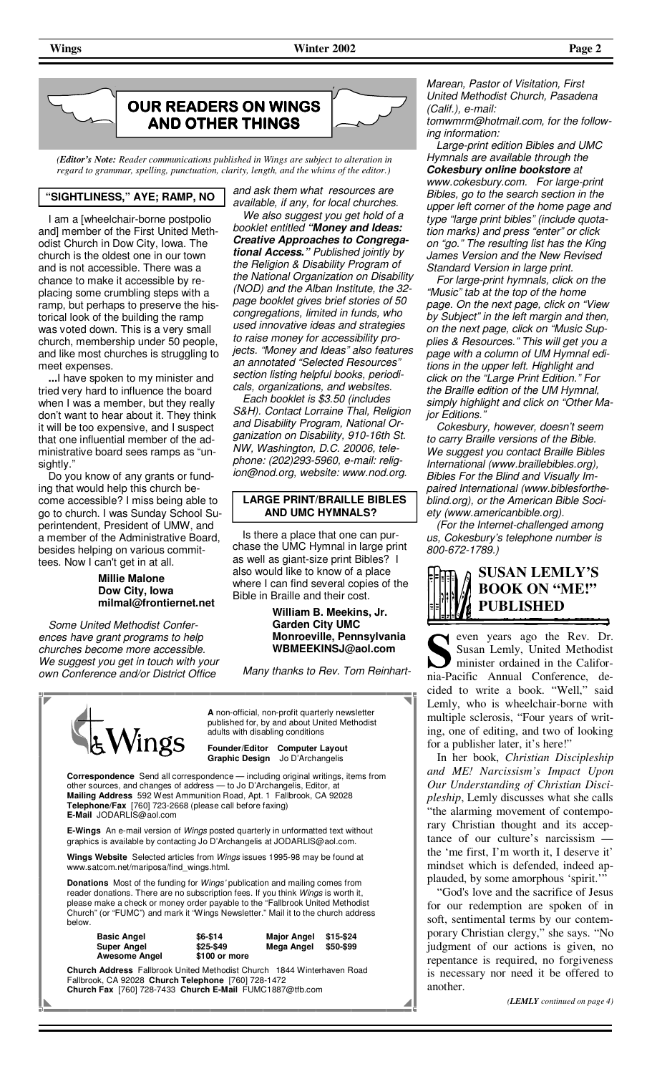

*(Editor's Note: Reader communications published in Wings are subject to alteration in regard to grammar, spelling, punctuation, clarity, length, and the whims of the editor.)* 

#### **"SIGHTLINESS," AYE; RAMP, NO**

 I am a [wheelchair-borne postpolio and] member of the First United Methodist Church in Dow City, Iowa. The church is the oldest one in our town and is not accessible. There was a chance to make it accessible by replacing some crumbling steps with a ramp, but perhaps to preserve the historical look of the building the ramp was voted down. This is a very small church, membership under 50 people, and like most churches is struggling to meet expenses.

**...**I have spoken to my minister and tried very hard to influence the board when I was a member, but they really don't want to hear about it. They think it will be too expensive, and I suspect that one influential member of the administrative board sees ramps as "unsightly.'

 Do you know of any grants or funding that would help this church become accessible? I miss being able to go to church. I was Sunday School Superintendent, President of UMW, and a member of the Administrative Board, besides helping on various committees. Now I can't get in at all.

#### **Millie Malone Dow City, Iowa milmal@frontiernet.net**

*Some United Methodist Conferences have grant programs to help churches become more accessible. We suggest you get in touch with your own Conference and/or District Office* 

*and ask them what resources are available, if any, for local churches.* 

 *We also suggest you get hold of a booklet entitled "Money and Ideas: Creative Approaches to Congregational Access." Published jointly by the Religion & Disability Program of the National Organization on Disability (NOD) and the Alban Institute, the 32 page booklet gives brief stories of 50 congregations, limited in funds, who used innovative ideas and strategies to raise money for accessibility projects. "Money and Ideas" also features an annotated "Selected Resources" section listing helpful books, periodicals, organizations, and websites.* 

 *Each booklet is \$3.50 (includes S&H). Contact Lorraine Thal, Religion and Disability Program, National Organization on Disability, 910-16th St. NW, Washington, D.C. 20006, telephone: (202)293-5960, e-mail: religion@nod.org, website: www.nod.org.* 

#### **LARGE PRINT/BRAILLE BIBLES AND UMC HYMNALS?**

 Is there a place that one can purchase the UMC Hymnal in large print as well as giant-size print Bibles? I also would like to know of a place where I can find several copies of the Bible in Braille and their cost.

> **William B. Meekins, Jr. Garden City UMC Monroeville, Pennsylvania WBMEEKINSJ@aol.com**

*Many thanks to Rev. Tom Reinhart-*



Fallbrook, CA 92028 **Church Telephone** [760] 728-1472 **Church Fax** [760] 728-7433 **Church E-Mail** FUMC1887@tfb.com *Marean, Pastor of Visitation, First United Methodist Church, Pasadena (Calif.), e-mail:* 

*tomwmrm@hotmail.com, for the following information:* 

 *Large-print edition Bibles and UMC Hymnals are available through the Cokesbury online bookstore at www.cokesbury.com. For large-print Bibles, go to the search section in the upper left corner of the home page and type "large print bibles" (include quotation marks) and press "enter" or click on "go." The resulting list has the King James Version and the New Revised Standard Version in large print.* 

 *For large-print hymnals, click on the "Music" tab at the top of the home page. On the next page, click on "View by Subject" in the left margin and then, on the next page, click on "Music Supplies & Resources." This will get you a page with a column of UM Hymnal editions in the upper left. Highlight and click on the "Large Print Edition." For the Braille edition of the UM Hymnal, simply highlight and click on "Other Major Editions.* 

 *Cokesbury, however, doesn't seem to carry Braille versions of the Bible. We suggest you contact Braille Bibles International (www.braillebibles.org), Bibles For the Blind and Visually Impaired International (www.biblesfortheblind.org), or the American Bible Society (www.americanbible.org).* 

 *(For the Internet-challenged among us, Cokesbury's telephone number is 800-672-1789.)*



even years ago the Rev. Dr. Susan Lemly, United Methodist minister ordained in the California-Pacific Annual Conference, decided to write a book. "Well," said Lemly, who is wheelchair-borne with multiple sclerosis, "Four years of writing, one of editing, and two of looking for a publisher later, it's here!"

 In her book, *Christian Discipleship and ME! Narcissism's Impact Upon Our Understanding of Christian Discipleship*, Lemly discusses what she calls "the alarming movement of contemporary Christian thought and its acceptance of our culture's narcissism the 'me first, I'm worth it, I deserve it' mindset which is defended, indeed applauded, by some amorphous 'spirit.'"

 "God's love and the sacrifice of Jesus for our redemption are spoken of in soft, sentimental terms by our contemporary Christian clergy," she says. "No judgment of our actions is given, no repentance is required, no forgiveness is necessary nor need it be offered to another.

*(LEMLY continued on page 4)*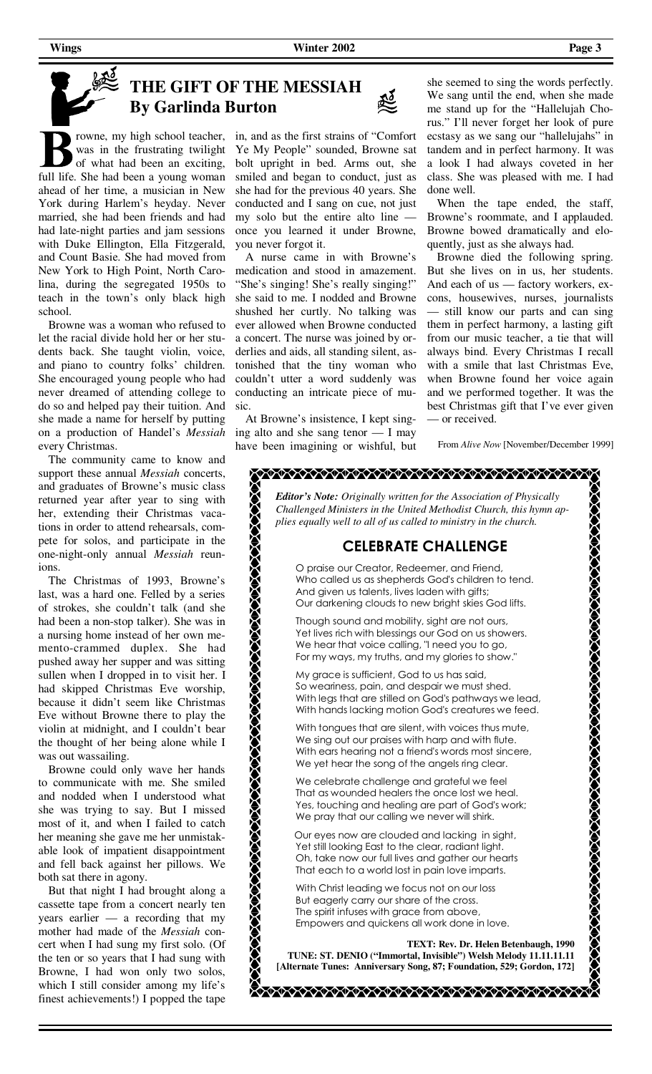**Wings** Page 3

签

# **THE GIFT OF THE MESSIAH By Garlinda Burton**

rowne, my high school teacher, was in the frustrating twilight of what had been an exciting, full life. She had been a young woman ahead of her time, a musician in New York during Harlem's heyday. Never married, she had been friends and had had late-night parties and jam sessions with Duke Ellington, Ella Fitzgerald, and Count Basie. She had moved from New York to High Point, North Carolina, during the segregated 1950s to teach in the town's only black high school.

 Browne was a woman who refused to let the racial divide hold her or her students back. She taught violin, voice, and piano to country folks' children. She encouraged young people who had never dreamed of attending college to do so and helped pay their tuition. And she made a name for herself by putting on a production of Handel's *Messiah* every Christmas.

 The community came to know and support these annual *Messiah* concerts, and graduates of Browne's music class returned year after year to sing with her, extending their Christmas vacations in order to attend rehearsals, compete for solos, and participate in the one-night-only annual *Messiah* reunions.

 The Christmas of 1993, Browne's last, was a hard one. Felled by a series of strokes, she couldn't talk (and she had been a non-stop talker). She was in a nursing home instead of her own memento-crammed duplex. She had pushed away her supper and was sitting sullen when I dropped in to visit her. I had skipped Christmas Eve worship, because it didn't seem like Christmas Eve without Browne there to play the violin at midnight, and I couldn't bear the thought of her being alone while I was out wassailing.

 Browne could only wave her hands to communicate with me. She smiled and nodded when I understood what she was trying to say. But I missed most of it, and when I failed to catch her meaning she gave me her unmistakable look of impatient disappointment and fell back against her pillows. We both sat there in agony.

 But that night I had brought along a cassette tape from a concert nearly ten years earlier — a recording that my mother had made of the *Messiah* concert when I had sung my first solo. (Of the ten or so years that I had sung with Browne, I had won only two solos, which I still consider among my life's finest achievements!) I popped the tape

in, and as the first strains of "Comfort Ye My People" sounded, Browne sat bolt upright in bed. Arms out, she smiled and began to conduct, just as she had for the previous 40 years. She conducted and I sang on cue, not just my solo but the entire alto line once you learned it under Browne, you never forgot it.

 A nurse came in with Browne's medication and stood in amazement. "She's singing! She's really singing!" she said to me. I nodded and Browne shushed her curtly. No talking was ever allowed when Browne conducted a concert. The nurse was joined by orderlies and aids, all standing silent, astonished that the tiny woman who couldn't utter a word suddenly was conducting an intricate piece of music.

have been imagining or wishful, but From *Alive Now* [November/December 1999] At Browne's insistence, I kept singing alto and she sang tenor — I may

she seemed to sing the words perfectly. We sang until the end, when she made me stand up for the "Hallelujah Chorus." I'll never forget her look of pure ecstasy as we sang our "hallelujahs" in tandem and in perfect harmony. It was a look I had always coveted in her class. She was pleased with me. I had done well.

 When the tape ended, the staff, Browne's roommate, and I applauded. Browne bowed dramatically and eloquently, just as she always had.

 Browne died the following spring. But she lives on in us, her students. And each of us — factory workers, excons, housewives, nurses, journalists — still know our parts and can sing them in perfect harmony, a lasting gift from our music teacher, a tie that will always bind. Every Christmas I recall with a smile that last Christmas Eve, when Browne found her voice again and we performed together. It was the best Christmas gift that I've ever given — or received.

## *Editor's Note: Originally written for the Association of Physically Challenged Ministers in the United Methodist Church, this hymn applies equally well to all of us called to ministry in the church.* **CELEBRATE CHALLENGE** O praise our Creator, Redeemer, and Friend, Who called us as shepherds God's children to tend. And given us talents, lives laden with gifts; Our darkening clouds to new bright skies God lifts. Though sound and mobility, sight are not ours, Yet lives rich with blessings our God on us showers. We hear that voice calling, "I need you to go, For my ways, my truths, and my glories to show." My grace is sufficient, God to us has said, So weariness, pain, and despair we must shed. With legs that are stilled on God's pathways we lead, With hands lacking motion God's creatures we feed. With tongues that are silent, with voices thus mute, We sing out our praises with harp and with flute. With ears hearing not a friend's words most sincere, We yet hear the song of the angels ring clear.

 We celebrate challenge and grateful we feel That as wounded healers the once lost we heal. Yes, touching and healing are part of God's work; We pray that our calling we never will shirk.

 Our eyes now are clouded and lacking in sight, Yet still looking East to the clear, radiant light. Oh, take now our full lives and gather our hearts That each to a world lost in pain love imparts.

 With Christ leading we focus not on our loss But eagerly carry our share of the cross. The spirit infuses with grace from above, Empowers and quickens all work done in love.

 **TEXT: Rev. Dr. Helen Betenbaugh, 1990** 

**TUNE: ST. DENIO ("Immortal, Invisible") Welsh Melody 11.11.11.11 [Alternate Tunes: Anniversary Song, 87; Foundation, 529; Gordon, 172]**